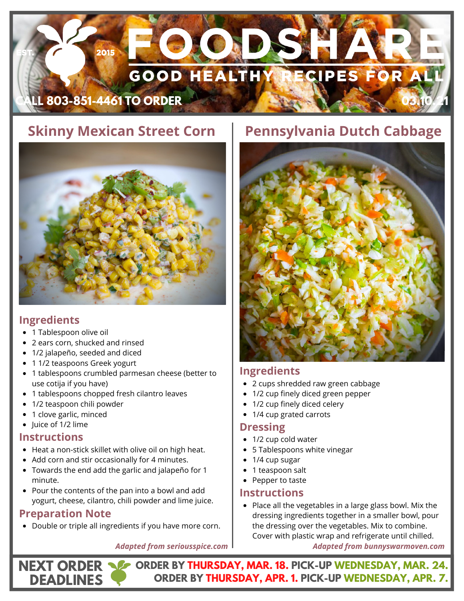# 2015 **GOOD HEALTHY ECIPES FOR AL CALL 803-851-4461 TO ORDER 03.10.21**

# **Skinny Mexican Street Corn**



#### **Ingredients**

- 1 Tablespoon olive oil
- 2 ears corn, shucked and rinsed
- 1/2 jalapeño, seeded and diced
- 1 1/2 teaspoons Greek yogurt  $\bullet$
- 1 tablespoons crumbled parmesan cheese (better to use cotija if you have)
- 1 tablespoons chopped fresh cilantro leaves
- 1/2 teaspoon chili powder
- 1 clove garlic, minced
- Juice of 1/2 lime

#### **Instructions**

- Heat a non-stick skillet with olive oil on high heat.
- Add corn and stir occasionally for 4 minutes.
- Towards the end add the garlic and jalapeño for 1 minute.
- Pour the contents of the pan into a bowl and add yogurt, cheese, cilantro, chili powder and lime juice.

### **Preparation Note**

**DEADLINES**

Double or triple all ingredients if you have more corn.

# **Pennsylvania Dutch Cabbage**



### **Ingredients**

- 2 cups shredded raw green cabbage
- 1/2 cup finely diced green pepper
- 1/2 cup finely diced celery
- 1/4 cup grated carrots

#### **Dressing**

- 1/2 cup cold water
- 5 Tablespoons white vinegar
- 1/4 cup sugar
- 1 teaspoon salt
- Pepper to taste

#### **Instructions**

• Place all the vegetables in a large glass bowl. Mix the dressing ingredients together in a smaller bowl, pour the dressing over the vegetables. Mix to combine. Cover with plastic wrap and refrigerate until chilled.

**ORDER BY THURSDAY, MAR. 18. PICK-UP WEDNESDAY, MAR. 24. NEXT ORDER ORDER BY THURSDAY, APR. 1. PICK-UP WEDNESDAY, APR. 7.**

*Adapted from seriousspice.com*

*Adapted from bunnyswarmoven.com*